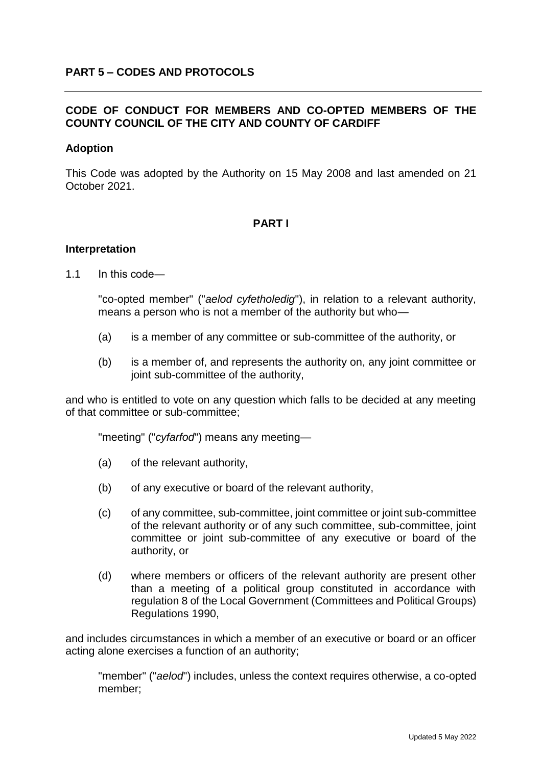# **CODE OF CONDUCT FOR MEMBERS AND CO-OPTED MEMBERS OF THE COUNTY COUNCIL OF THE CITY AND COUNTY OF CARDIFF**

### **Adoption**

This Code was adopted by the Authority on 15 May 2008 and last amended on 21 October 2021.

# **PART I**

#### **Interpretation**

1.1 In this code―

"co-opted member" ("*aelod cyfetholedig*"), in relation to a relevant authority, means a person who is not a member of the authority but who—

- (a) is a member of any committee or sub-committee of the authority, or
- (b) is a member of, and represents the authority on, any joint committee or joint sub-committee of the authority,

and who is entitled to vote on any question which falls to be decided at any meeting of that committee or sub-committee;

"meeting" ("*cyfarfod*") means any meeting—

- (a) of the relevant authority,
- (b) of any executive or board of the relevant authority,
- (c) of any committee, sub-committee, joint committee or joint sub-committee of the relevant authority or of any such committee, sub-committee, joint committee or joint sub-committee of any executive or board of the authority, or
- (d) where members or officers of the relevant authority are present other than a meeting of a political group constituted in accordance with regulation 8 of the Local Government (Committees and Political Groups) Regulations 1990,

and includes circumstances in which a member of an executive or board or an officer acting alone exercises a function of an authority;

"member" ("*aelod*") includes, unless the context requires otherwise, a co-opted member;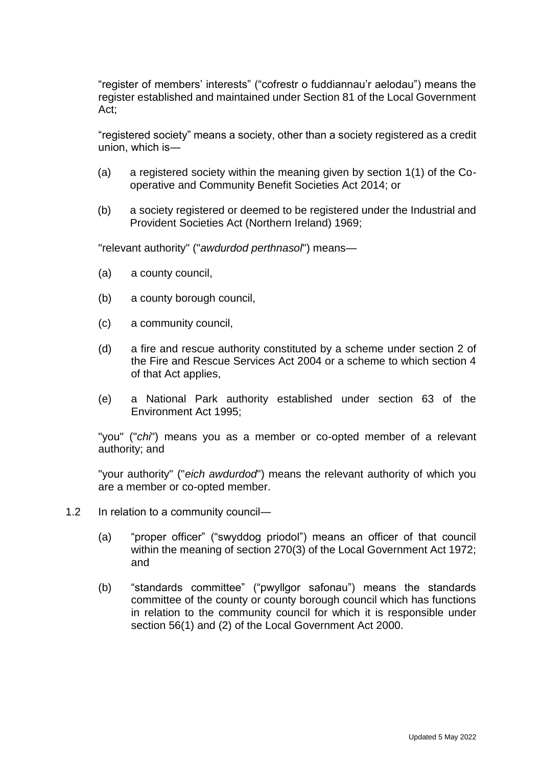"register of members' interests" ("cofrestr o fuddiannau'r aelodau") means the register established and maintained under Section 81 of the Local Government Act;

"registered society" means a society, other than a society registered as a credit union, which is―

- (a) a registered society within the meaning given by section 1(1) of the Cooperative and Community Benefit Societies Act 2014; or
- (b) a society registered or deemed to be registered under the Industrial and Provident Societies Act (Northern Ireland) 1969;

"relevant authority" ("*awdurdod perthnasol*") means—

- (a) a county council,
- (b) a county borough council,
- (c) a community council,
- (d) a fire and rescue authority constituted by a scheme under section 2 of the Fire and Rescue Services Act 2004 or a scheme to which section 4 of that Act applies,
- (e) a National Park authority established under section 63 of the Environment Act 1995;

"you" ("*chi*") means you as a member or co-opted member of a relevant authority; and

"your authority" ("*eich awdurdod*") means the relevant authority of which you are a member or co-opted member.

- 1.2 In relation to a community council—
	- (a) "proper officer" ("swyddog priodol") means an officer of that council within the meaning of section 270(3) of the Local Government Act 1972; and
	- (b) "standards committee" ("pwyllgor safonau") means the standards committee of the county or county borough council which has functions in relation to the community council for which it is responsible under section 56(1) and (2) of the Local Government Act 2000.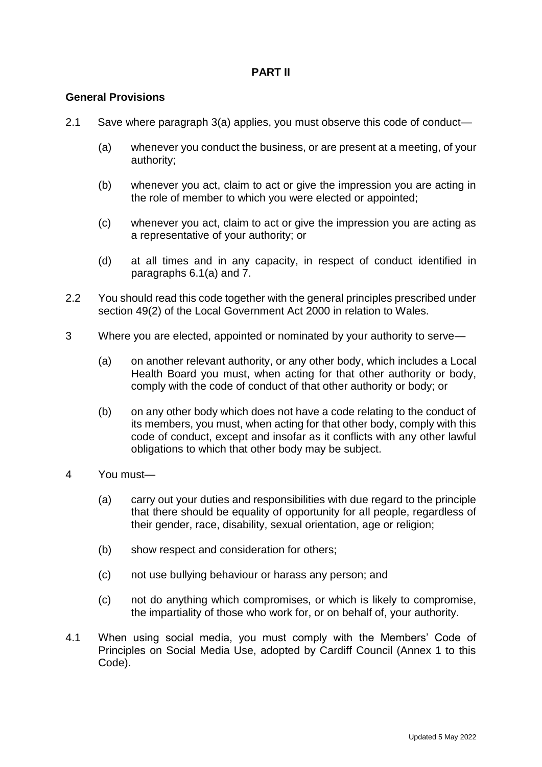# **PART II**

### **General Provisions**

- 2.1 Save where paragraph 3(a) applies, you must observe this code of conduct—
	- (a) whenever you conduct the business, or are present at a meeting, of your authority;
	- (b) whenever you act, claim to act or give the impression you are acting in the role of member to which you were elected or appointed;
	- (c) whenever you act, claim to act or give the impression you are acting as a representative of your authority; or
	- (d) at all times and in any capacity, in respect of conduct identified in paragraphs 6.1(a) and 7.
- 2.2 You should read this code together with the general principles prescribed under section 49(2) of the Local Government Act 2000 in relation to Wales.
- 3 Where you are elected, appointed or nominated by your authority to serve—
	- (a) on another relevant authority, or any other body, which includes a Local Health Board you must, when acting for that other authority or body, comply with the code of conduct of that other authority or body; or
	- (b) on any other body which does not have a code relating to the conduct of its members, you must, when acting for that other body, comply with this code of conduct, except and insofar as it conflicts with any other lawful obligations to which that other body may be subject.
- 4 You must—
	- (a) carry out your duties and responsibilities with due regard to the principle that there should be equality of opportunity for all people, regardless of their gender, race, disability, sexual orientation, age or religion;
	- (b) show respect and consideration for others;
	- (c) not use bullying behaviour or harass any person; and
	- (c) not do anything which compromises, or which is likely to compromise, the impartiality of those who work for, or on behalf of, your authority.
- 4.1 When using social media, you must comply with the Members' Code of Principles on Social Media Use, adopted by Cardiff Council (Annex 1 to this Code).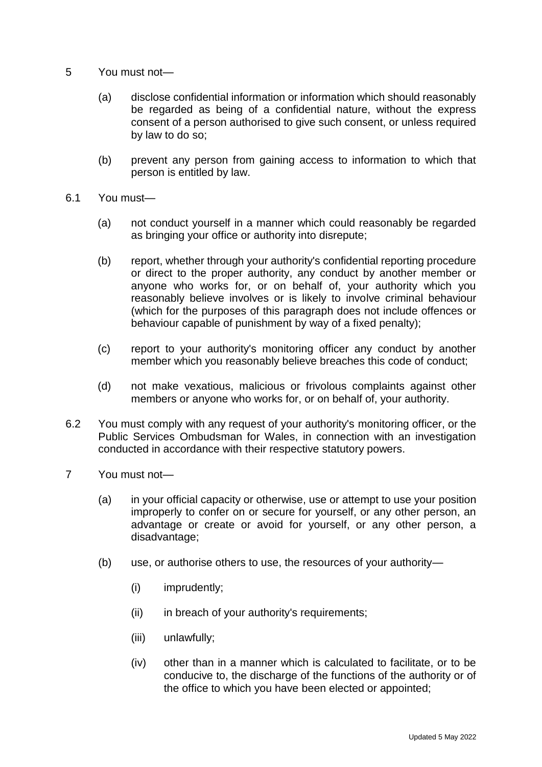- 5You must not—
	- (a) disclose confidential information or information which should reasonably be regarded as being of a confidential nature, without the express consent of a person authorised to give such consent, or unless required by law to do so;
	- (b) prevent any person from gaining access to information to which that person is entitled by law.
- 6.1 You must—
	- (a) not conduct yourself in a manner which could reasonably be regarded as bringing your office or authority into disrepute;
	- (b) report, whether through your authority's confidential reporting procedure or direct to the proper authority, any conduct by another member or anyone who works for, or on behalf of, your authority which you reasonably believe involves or is likely to involve criminal behaviour (which for the purposes of this paragraph does not include offences or behaviour capable of punishment by way of a fixed penalty);
	- (c) report to your authority's monitoring officer any conduct by another member which you reasonably believe breaches this code of conduct;
	- (d) not make vexatious, malicious or frivolous complaints against other members or anyone who works for, or on behalf of, your authority.
- 6.2 You must comply with any request of your authority's monitoring officer, or the Public Services Ombudsman for Wales, in connection with an investigation conducted in accordance with their respective statutory powers.
- 7 You must not—
	- (a) in your official capacity or otherwise, use or attempt to use your position improperly to confer on or secure for yourself, or any other person, an advantage or create or avoid for yourself, or any other person, a disadvantage;
	- (b) use, or authorise others to use, the resources of your authority—
		- (i) imprudently;
		- (ii) in breach of your authority's requirements;
		- (iii) unlawfully;
		- (iv) other than in a manner which is calculated to facilitate, or to be conducive to, the discharge of the functions of the authority or of the office to which you have been elected or appointed;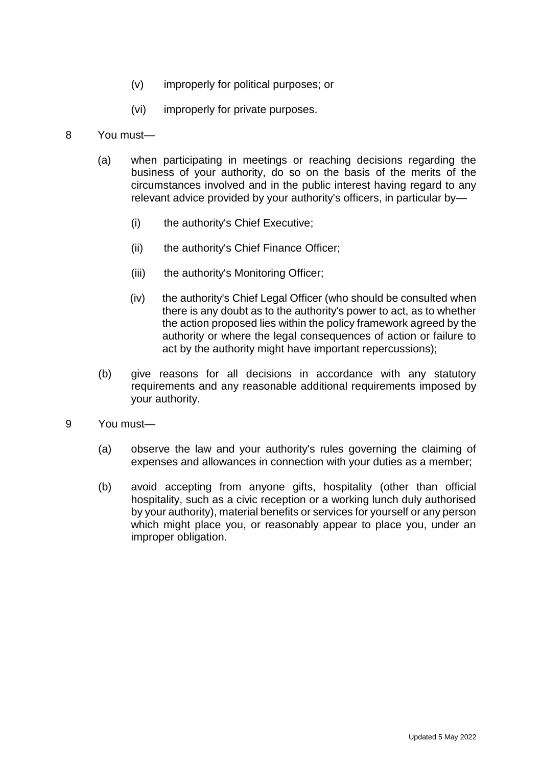- (v) improperly for political purposes; or
- (vi) improperly for private purposes.
- 8 You must—
	- (a) when participating in meetings or reaching decisions regarding the business of your authority, do so on the basis of the merits of the circumstances involved and in the public interest having regard to any relevant advice provided by your authority's officers, in particular by—
		- (i) the authority's Chief Executive;
		- (ii) the authority's Chief Finance Officer;
		- (iii) the authority's Monitoring Officer;
		- (iv) the authority's Chief Legal Officer (who should be consulted when there is any doubt as to the authority's power to act, as to whether the action proposed lies within the policy framework agreed by the authority or where the legal consequences of action or failure to act by the authority might have important repercussions);
	- (b) give reasons for all decisions in accordance with any statutory requirements and any reasonable additional requirements imposed by your authority.
- 9 You must—
	- (a) observe the law and your authority's rules governing the claiming of expenses and allowances in connection with your duties as a member;
	- (b) avoid accepting from anyone gifts, hospitality (other than official hospitality, such as a civic reception or a working lunch duly authorised by your authority), material benefits or services for yourself or any person which might place you, or reasonably appear to place you, under an improper obligation.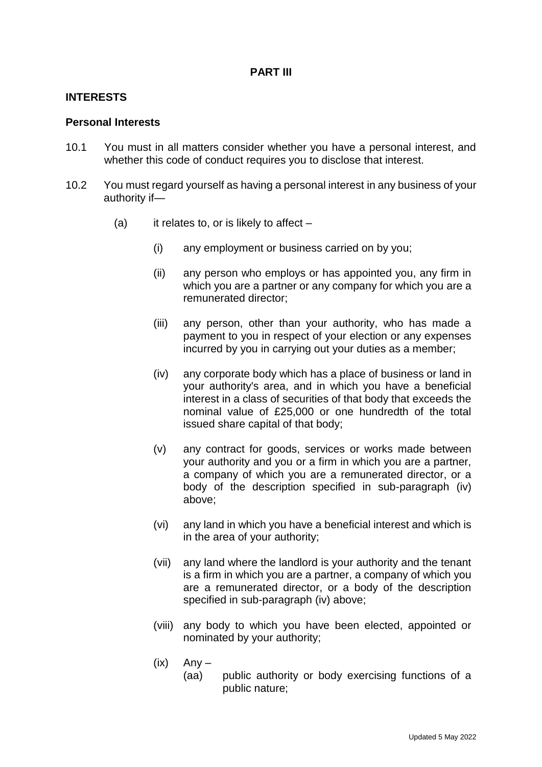# **PART III**

### **INTERESTS**

### **Personal Interests**

- 10.1 You must in all matters consider whether you have a personal interest, and whether this code of conduct requires you to disclose that interest.
- 10.2 You must regard yourself as having a personal interest in any business of your authority if—
	- (a) it relates to, or is likely to affect  $-$ 
		- (i) any employment or business carried on by you;
		- (ii) any person who employs or has appointed you, any firm in which you are a partner or any company for which you are a remunerated director;
		- (iii) any person, other than your authority, who has made a payment to you in respect of your election or any expenses incurred by you in carrying out your duties as a member;
		- (iv) any corporate body which has a place of business or land in your authority's area, and in which you have a beneficial interest in a class of securities of that body that exceeds the nominal value of £25,000 or one hundredth of the total issued share capital of that body;
		- (v) any contract for goods, services or works made between your authority and you or a firm in which you are a partner, a company of which you are a remunerated director, or a body of the description specified in sub-paragraph (iv) above;
		- (vi) any land in which you have a beneficial interest and which is in the area of your authority;
		- (vii) any land where the landlord is your authority and the tenant is a firm in which you are a partner, a company of which you are a remunerated director, or a body of the description specified in sub-paragraph (iv) above;
		- (viii) any body to which you have been elected, appointed or nominated by your authority;
		- $(ix)$  Any
			- (aa) public authority or body exercising functions of a public nature;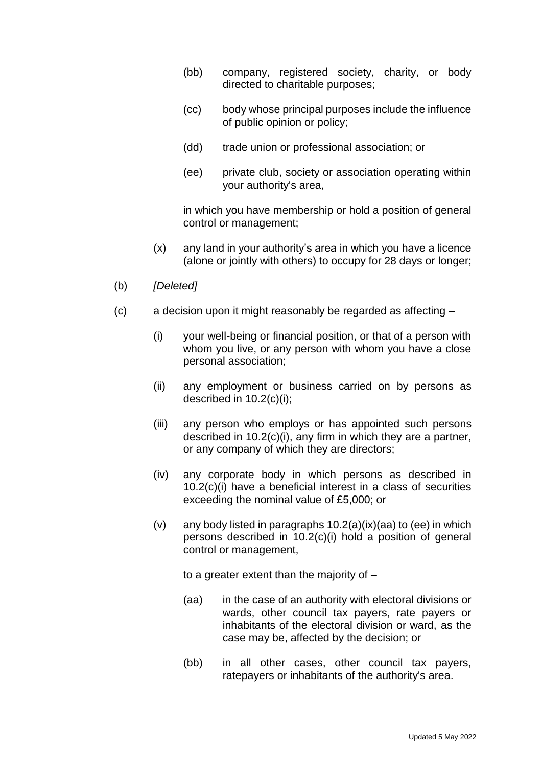- (bb) company, registered society, charity, or body directed to charitable purposes;
- (cc) body whose principal purposes include the influence of public opinion or policy;
- (dd) trade union or professional association; or
- (ee) private club, society or association operating within your authority's area,

in which you have membership or hold a position of general control or management;

- (x) any land in your authority's area in which you have a licence (alone or jointly with others) to occupy for 28 days or longer;
- (b) *[Deleted]*
- (c) a decision upon it might reasonably be regarded as affecting
	- (i) your well-being or financial position, or that of a person with whom you live, or any person with whom you have a close personal association;
	- (ii) any employment or business carried on by persons as described in 10.2(c)(i);
	- (iii) any person who employs or has appointed such persons described in 10.2(c)(i), any firm in which they are a partner, or any company of which they are directors;
	- (iv) any corporate body in which persons as described in 10.2(c)(i) have a beneficial interest in a class of securities exceeding the nominal value of £5,000; or
	- (v) any body listed in paragraphs  $10.2(a)(ix)(aa)$  to (ee) in which persons described in 10.2(c)(i) hold a position of general control or management,

to a greater extent than the majority of  $-$ 

- (aa) in the case of an authority with electoral divisions or wards, other council tax payers, rate payers or inhabitants of the electoral division or ward, as the case may be, affected by the decision; or
- (bb) in all other cases, other council tax payers, ratepayers or inhabitants of the authority's area.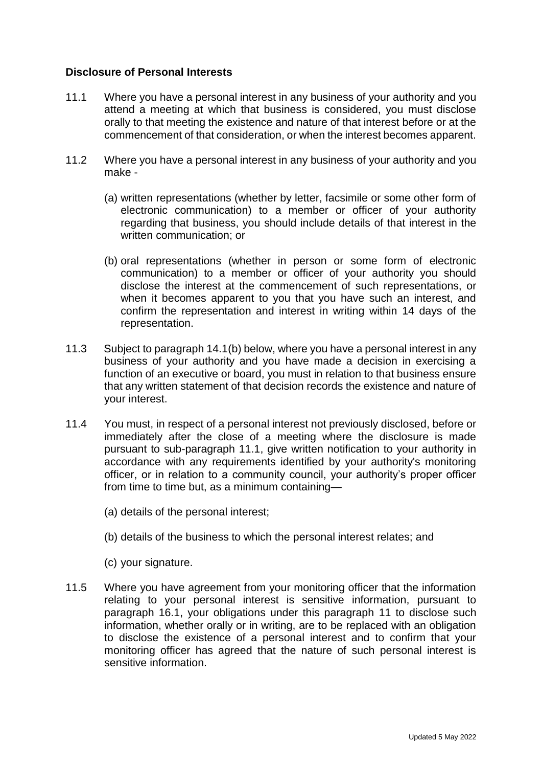## **Disclosure of Personal Interests**

- 11.1 Where you have a personal interest in any business of your authority and you attend a meeting at which that business is considered, you must disclose orally to that meeting the existence and nature of that interest before or at the commencement of that consideration, or when the interest becomes apparent.
- 11.2 Where you have a personal interest in any business of your authority and you make -
	- (a) written representations (whether by letter, facsimile or some other form of electronic communication) to a member or officer of your authority regarding that business, you should include details of that interest in the written communication; or
	- (b) oral representations (whether in person or some form of electronic communication) to a member or officer of your authority you should disclose the interest at the commencement of such representations, or when it becomes apparent to you that you have such an interest, and confirm the representation and interest in writing within 14 days of the representation.
- 11.3 Subject to paragraph 14.1(b) below, where you have a personal interest in any business of your authority and you have made a decision in exercising a function of an executive or board, you must in relation to that business ensure that any written statement of that decision records the existence and nature of your interest.
- 11.4 You must, in respect of a personal interest not previously disclosed, before or immediately after the close of a meeting where the disclosure is made pursuant to sub-paragraph 11.1, give written notification to your authority in accordance with any requirements identified by your authority's monitoring officer, or in relation to a community council, your authority's proper officer from time to time but, as a minimum containing—

(a) details of the personal interest;

- (b) details of the business to which the personal interest relates; and
- (c) your signature.
- 11.5 Where you have agreement from your monitoring officer that the information relating to your personal interest is sensitive information, pursuant to paragraph 16.1, your obligations under this paragraph 11 to disclose such information, whether orally or in writing, are to be replaced with an obligation to disclose the existence of a personal interest and to confirm that your monitoring officer has agreed that the nature of such personal interest is sensitive information.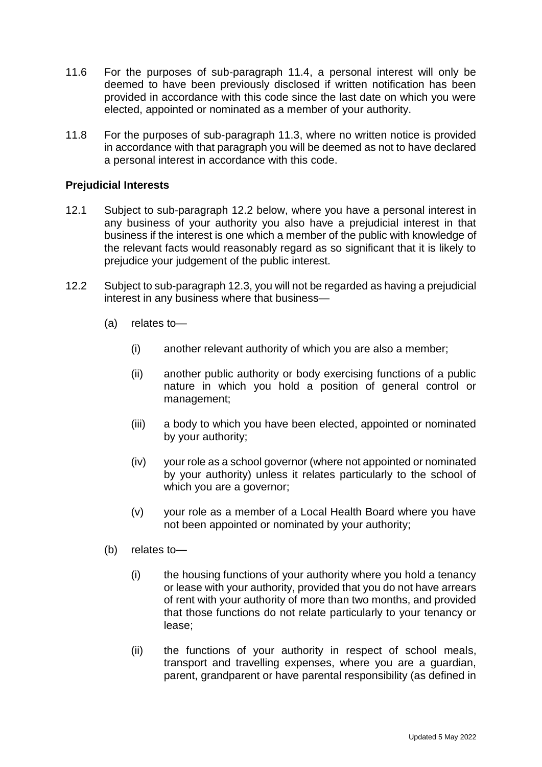- 11.6 For the purposes of sub-paragraph 11.4, a personal interest will only be deemed to have been previously disclosed if written notification has been provided in accordance with this code since the last date on which you were elected, appointed or nominated as a member of your authority.
- 11.8 For the purposes of sub-paragraph 11.3, where no written notice is provided in accordance with that paragraph you will be deemed as not to have declared a personal interest in accordance with this code.

# **Prejudicial Interests**

- 12.1 Subject to sub-paragraph 12.2 below, where you have a personal interest in any business of your authority you also have a prejudicial interest in that business if the interest is one which a member of the public with knowledge of the relevant facts would reasonably regard as so significant that it is likely to prejudice your judgement of the public interest.
- 12.2 Subject to sub-paragraph 12.3, you will not be regarded as having a prejudicial interest in any business where that business—
	- (a) relates to—
		- (i) another relevant authority of which you are also a member;
		- (ii) another public authority or body exercising functions of a public nature in which you hold a position of general control or management;
		- (iii) a body to which you have been elected, appointed or nominated by your authority;
		- (iv) your role as a school governor (where not appointed or nominated by your authority) unless it relates particularly to the school of which you are a governor;
		- (v) your role as a member of a Local Health Board where you have not been appointed or nominated by your authority;
	- (b) relates to—
		- (i) the housing functions of your authority where you hold a tenancy or lease with your authority, provided that you do not have arrears of rent with your authority of more than two months, and provided that those functions do not relate particularly to your tenancy or lease;
		- (ii) the functions of your authority in respect of school meals, transport and travelling expenses, where you are a guardian, parent, grandparent or have parental responsibility (as defined in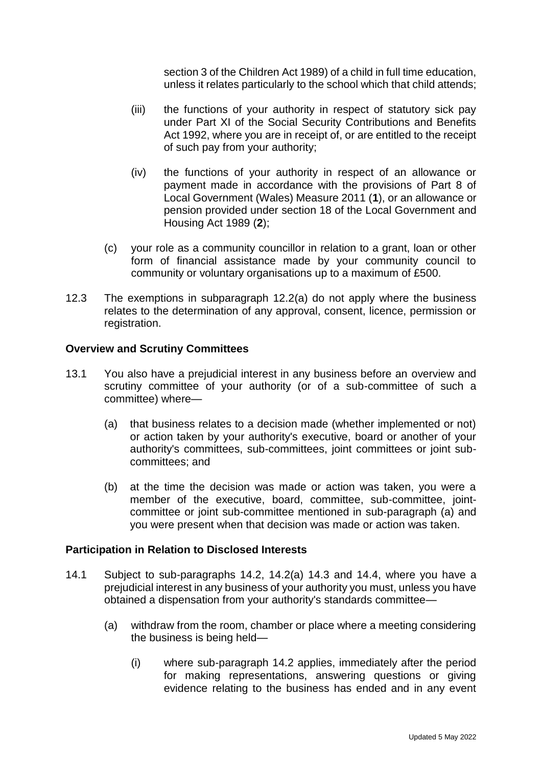section 3 of the Children Act 1989) of a child in full time education, unless it relates particularly to the school which that child attends;

- (iii) the functions of your authority in respect of statutory sick pay under Part XI of the Social Security Contributions and Benefits Act 1992, where you are in receipt of, or are entitled to the receipt of such pay from your authority;
- (iv) the functions of your authority in respect of an allowance or payment made in accordance with the provisions of Part 8 of Local Government (Wales) Measure 2011 (**1**), or an allowance or pension provided under section 18 of the Local Government and Housing Act 1989 (**2**);
- (c) your role as a community councillor in relation to a grant, loan or other form of financial assistance made by your community council to community or voluntary organisations up to a maximum of £500.
- 12.3 The exemptions in subparagraph 12.2(a) do not apply where the business relates to the determination of any approval, consent, licence, permission or registration.

## **Overview and Scrutiny Committees**

- 13.1 You also have a prejudicial interest in any business before an overview and scrutiny committee of your authority (or of a sub-committee of such a committee) where—
	- (a) that business relates to a decision made (whether implemented or not) or action taken by your authority's executive, board or another of your authority's committees, sub-committees, joint committees or joint subcommittees; and
	- (b) at the time the decision was made or action was taken, you were a member of the executive, board, committee, sub-committee, jointcommittee or joint sub-committee mentioned in sub-paragraph (a) and you were present when that decision was made or action was taken.

#### **Participation in Relation to Disclosed Interests**

- 14.1 Subject to sub-paragraphs 14.2, 14.2(a) 14.3 and 14.4, where you have a prejudicial interest in any business of your authority you must, unless you have obtained a dispensation from your authority's standards committee—
	- (a) withdraw from the room, chamber or place where a meeting considering the business is being held—
		- (i) where sub-paragraph 14.2 applies, immediately after the period for making representations, answering questions or giving evidence relating to the business has ended and in any event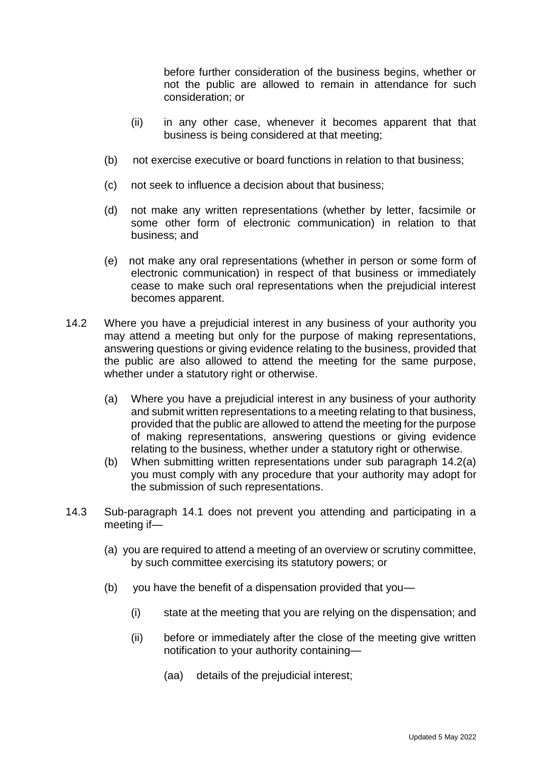before further consideration of the business begins, whether or not the public are allowed to remain in attendance for such consideration; or

- (ii) in any other case, whenever it becomes apparent that that business is being considered at that meeting;
- (b) not exercise executive or board functions in relation to that business;
- (c) not seek to influence a decision about that business;
- (d) not make any written representations (whether by letter, facsimile or some other form of electronic communication) in relation to that business; and
- (e) not make any oral representations (whether in person or some form of electronic communication) in respect of that business or immediately cease to make such oral representations when the prejudicial interest becomes apparent.
- 14.2 Where you have a prejudicial interest in any business of your authority you may attend a meeting but only for the purpose of making representations, answering questions or giving evidence relating to the business, provided that the public are also allowed to attend the meeting for the same purpose, whether under a statutory right or otherwise.
	- (a) Where you have a prejudicial interest in any business of your authority and submit written representations to a meeting relating to that business, provided that the public are allowed to attend the meeting for the purpose of making representations, answering questions or giving evidence relating to the business, whether under a statutory right or otherwise.
	- (b) When submitting written representations under sub paragraph 14.2(a) you must comply with any procedure that your authority may adopt for the submission of such representations.
- 14.3 Sub-paragraph 14.1 does not prevent you attending and participating in a meeting if—
	- (a) you are required to attend a meeting of an overview or scrutiny committee, by such committee exercising its statutory powers; or
	- (b) you have the benefit of a dispensation provided that you—
		- (i) state at the meeting that you are relying on the dispensation; and
		- (ii) before or immediately after the close of the meeting give written notification to your authority containing—
			- (aa) details of the prejudicial interest;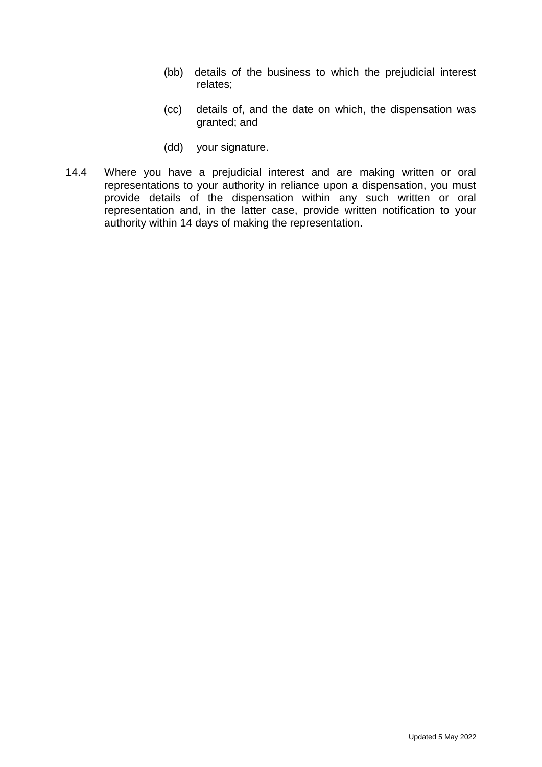- (bb) details of the business to which the prejudicial interest relates;
- (cc) details of, and the date on which, the dispensation was granted; and
- (dd) your signature.
- 14.4 Where you have a prejudicial interest and are making written or oral representations to your authority in reliance upon a dispensation, you must provide details of the dispensation within any such written or oral representation and, in the latter case, provide written notification to your authority within 14 days of making the representation.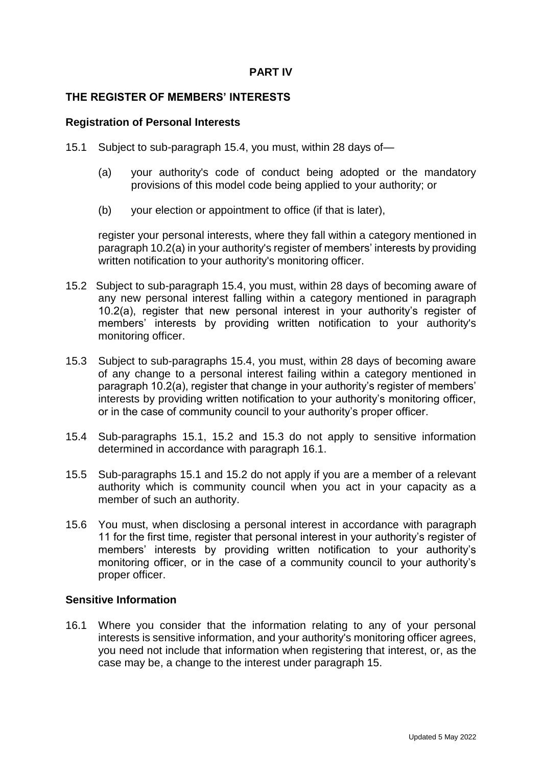## **PART IV**

### **THE REGISTER OF MEMBERS' INTERESTS**

### **Registration of Personal Interests**

- 15.1 Subject to sub-paragraph 15.4, you must, within 28 days of—
	- (a) your authority's code of conduct being adopted or the mandatory provisions of this model code being applied to your authority; or
	- (b) your election or appointment to office (if that is later),

register your personal interests, where they fall within a category mentioned in paragraph 10.2(a) in your authority's register of members' interests by providing written notification to your authority's monitoring officer.

- 15.2 Subject to sub-paragraph 15.4, you must, within 28 days of becoming aware of any new personal interest falling within a category mentioned in paragraph 10.2(a), register that new personal interest in your authority's register of members' interests by providing written notification to your authority's monitoring officer.
- 15.3 Subject to sub-paragraphs 15.4, you must, within 28 days of becoming aware of any change to a personal interest failing within a category mentioned in paragraph 10.2(a), register that change in your authority's register of members' interests by providing written notification to your authority's monitoring officer, or in the case of community council to your authority's proper officer.
- 15.4 Sub-paragraphs 15.1, 15.2 and 15.3 do not apply to sensitive information determined in accordance with paragraph 16.1.
- 15.5 Sub-paragraphs 15.1 and 15.2 do not apply if you are a member of a relevant authority which is community council when you act in your capacity as a member of such an authority.
- 15.6 You must, when disclosing a personal interest in accordance with paragraph 11 for the first time, register that personal interest in your authority's register of members' interests by providing written notification to your authority's monitoring officer, or in the case of a community council to your authority's proper officer.

#### **Sensitive Information**

16.1 Where you consider that the information relating to any of your personal interests is sensitive information, and your authority's monitoring officer agrees, you need not include that information when registering that interest, or, as the case may be, a change to the interest under paragraph 15.